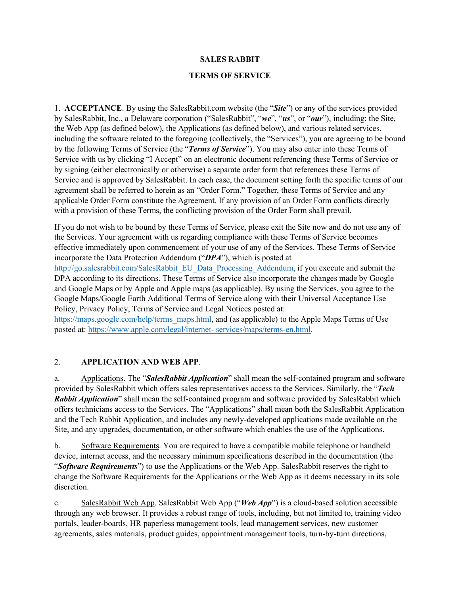#### **SALES RABBIT**

#### **TERMS OF SERVICE**

1. **ACCEPTANCE**. By using the SalesRabbit.com website (the "*Site*") or any of the services provided by SalesRabbit, Inc., a Delaware corporation ("SalesRabbit", "*we*", "*us*", or "*our*"), including: the Site, the Web App (as defined below), the Applications (as defined below), and various related services, including the software related to the foregoing (collectively, the "Services"), you are agreeing to be bound by the following Terms of Service (the "*Terms of Service*"). You may also enter into these Terms of Service with us by clicking "I Accept" on an electronic document referencing these Terms of Service or by signing (either electronically or otherwise) a separate order form that references these Terms of Service and is approved by SalesRabbit. In each case, the document setting forth the specific terms of our agreement shall be referred to herein as an "Order Form." Together, these Terms of Service and any applicable Order Form constitute the Agreement. If any provision of an Order Form conflicts directly with a provision of these Terms, the conflicting provision of the Order Form shall prevail.

If you do not wish to be bound by these Terms of Service, please exit the Site now and do not use any of the Services. Your agreement with us regarding compliance with these Terms of Service becomes effective immediately upon commencement of your use of any of the Services. These Terms of Service incorporate the Data Protection Addendum ("*DPA*"), which is posted at http://go.salesrabbit.com/SalesRabbit\_EU\_Data\_Processing\_Addendum, if you execute and submit the DPA according to its directions. These Terms of Service also incorporate the changes made by Google and Google Maps or by Apple and Apple maps (as applicable). By using the Services, you agree to the Google Maps/Google Earth Additional Terms of Service along with their Universal Acceptance Use Policy, Privacy Policy, Terms of Service and Legal Notices posted at:

https://maps.google.com/help/terms\_maps.html, and (as applicable) to the Apple Maps Terms of Use posted at: https://www.apple.com/legal/internet- services/maps/terms-en.html.

#### 2. **APPLICATION AND WEB APP**.

a. Applications. The "*SalesRabbit Application*" shall mean the self-contained program and software provided by SalesRabbit which offers sales representatives access to the Services. Similarly, the "*Tech Rabbit Application*" shall mean the self-contained program and software provided by SalesRabbit which offers technicians access to the Services. The "Applications" shall mean both the SalesRabbit Application and the Tech Rabbit Application, and includes any newly-developed applications made available on the Site, and any upgrades, documentation, or other software which enables the use of the Applications.

b. Software Requirements. You are required to have a compatible mobile telephone or handheld device, internet access, and the necessary minimum specifications described in the documentation (the "*Software Requirements*") to use the Applications or the Web App. SalesRabbit reserves the right to change the Software Requirements for the Applications or the Web App as it deems necessary in its sole discretion.

c. SalesRabbit Web App. SalesRabbit Web App ("*Web App*") is a cloud-based solution accessible through any web browser. It provides a robust range of tools, including, but not limited to, training video portals, leader-boards, HR paperless management tools, lead management services, new customer agreements, sales materials, product guides, appointment management tools, turn-by-turn directions,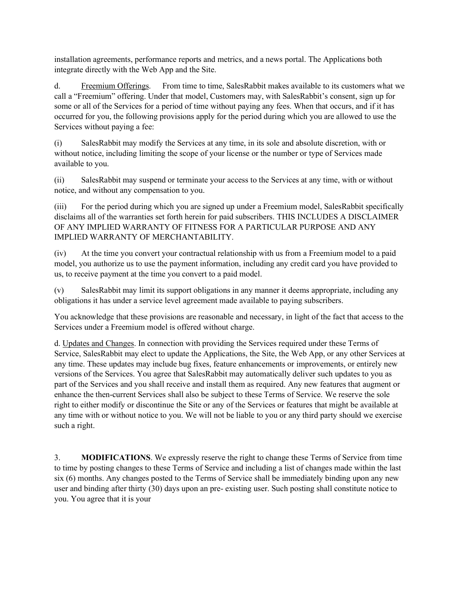installation agreements, performance reports and metrics, and a news portal. The Applications both integrate directly with the Web App and the Site.

d. Freemium Offerings. From time to time, SalesRabbit makes available to its customers what we call a "Freemium" offering. Under that model, Customers may, with SalesRabbit's consent, sign up for some or all of the Services for a period of time without paying any fees. When that occurs, and if it has occurred for you, the following provisions apply for the period during which you are allowed to use the Services without paying a fee:

(i) SalesRabbit may modify the Services at any time, in its sole and absolute discretion, with or without notice, including limiting the scope of your license or the number or type of Services made available to you.

(ii) SalesRabbit may suspend or terminate your access to the Services at any time, with or without notice, and without any compensation to you.

(iii) For the period during which you are signed up under a Freemium model, SalesRabbit specifically disclaims all of the warranties set forth herein for paid subscribers. THIS INCLUDES A DISCLAIMER OF ANY IMPLIED WARRANTY OF FITNESS FOR A PARTICULAR PURPOSE AND ANY IMPLIED WARRANTY OF MERCHANTABILITY.

(iv) At the time you convert your contractual relationship with us from a Freemium model to a paid model, you authorize us to use the payment information, including any credit card you have provided to us, to receive payment at the time you convert to a paid model.

(v) SalesRabbit may limit its support obligations in any manner it deems appropriate, including any obligations it has under a service level agreement made available to paying subscribers.

You acknowledge that these provisions are reasonable and necessary, in light of the fact that access to the Services under a Freemium model is offered without charge.

d. Updates and Changes. In connection with providing the Services required under these Terms of Service, SalesRabbit may elect to update the Applications, the Site, the Web App, or any other Services at any time. These updates may include bug fixes, feature enhancements or improvements, or entirely new versions of the Services. You agree that SalesRabbit may automatically deliver such updates to you as part of the Services and you shall receive and install them as required. Any new features that augment or enhance the then-current Services shall also be subject to these Terms of Service. We reserve the sole right to either modify or discontinue the Site or any of the Services or features that might be available at any time with or without notice to you. We will not be liable to you or any third party should we exercise such a right.

3. **MODIFICATIONS**. We expressly reserve the right to change these Terms of Service from time to time by posting changes to these Terms of Service and including a list of changes made within the last six (6) months. Any changes posted to the Terms of Service shall be immediately binding upon any new user and binding after thirty (30) days upon an pre- existing user. Such posting shall constitute notice to you. You agree that it is your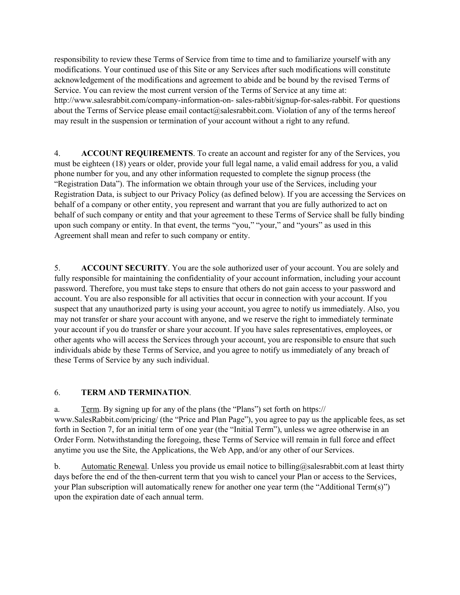responsibility to review these Terms of Service from time to time and to familiarize yourself with any modifications. Your continued use of this Site or any Services after such modifications will constitute acknowledgement of the modifications and agreement to abide and be bound by the revised Terms of Service. You can review the most current version of the Terms of Service at any time at: http://www.salesrabbit.com/company-information-on- sales-rabbit/signup-for-sales-rabbit. For questions about the Terms of Service please email contact@salesrabbit.com. Violation of any of the terms hereof may result in the suspension or termination of your account without a right to any refund.

4. **ACCOUNT REQUIREMENTS**. To create an account and register for any of the Services, you must be eighteen (18) years or older, provide your full legal name, a valid email address for you, a valid phone number for you, and any other information requested to complete the signup process (the "Registration Data"). The information we obtain through your use of the Services, including your Registration Data, is subject to our Privacy Policy (as defined below). If you are accessing the Services on behalf of a company or other entity, you represent and warrant that you are fully authorized to act on behalf of such company or entity and that your agreement to these Terms of Service shall be fully binding upon such company or entity. In that event, the terms "you," "your," and "yours" as used in this Agreement shall mean and refer to such company or entity.

5. **ACCOUNT SECURITY**. You are the sole authorized user of your account. You are solely and fully responsible for maintaining the confidentiality of your account information, including your account password. Therefore, you must take steps to ensure that others do not gain access to your password and account. You are also responsible for all activities that occur in connection with your account. If you suspect that any unauthorized party is using your account, you agree to notify us immediately. Also, you may not transfer or share your account with anyone, and we reserve the right to immediately terminate your account if you do transfer or share your account. If you have sales representatives, employees, or other agents who will access the Services through your account, you are responsible to ensure that such individuals abide by these Terms of Service, and you agree to notify us immediately of any breach of these Terms of Service by any such individual.

### 6. **TERM AND TERMINATION**.

a. Term. By signing up for any of the plans (the "Plans") set forth on https:// www.SalesRabbit.com/pricing/ (the "Price and Plan Page"), you agree to pay us the applicable fees, as set forth in Section 7, for an initial term of one year (the "Initial Term"), unless we agree otherwise in an Order Form. Notwithstanding the foregoing, these Terms of Service will remain in full force and effect anytime you use the Site, the Applications, the Web App, and/or any other of our Services.

b. Automatic Renewal. Unless you provide us email notice to billing@salesrabbit.com at least thirty days before the end of the then-current term that you wish to cancel your Plan or access to the Services, your Plan subscription will automatically renew for another one year term (the "Additional Term(s)") upon the expiration date of each annual term.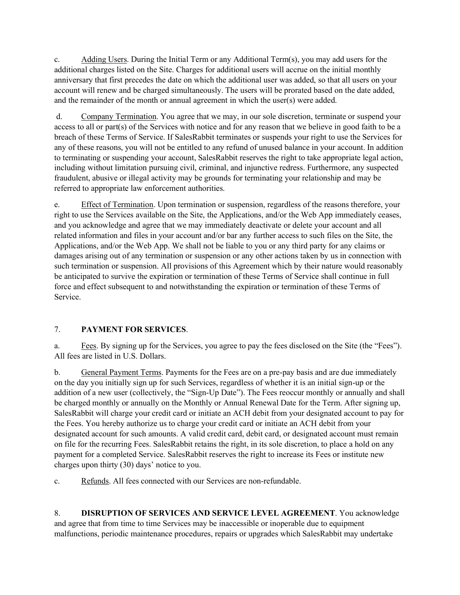c. Adding Users. During the Initial Term or any Additional Term(s), you may add users for the additional charges listed on the Site. Charges for additional users will accrue on the initial monthly anniversary that first precedes the date on which the additional user was added, so that all users on your account will renew and be charged simultaneously. The users will be prorated based on the date added, and the remainder of the month or annual agreement in which the user(s) were added.

d. Company Termination. You agree that we may, in our sole discretion, terminate or suspend your access to all or part(s) of the Services with notice and for any reason that we believe in good faith to be a breach of these Terms of Service. If SalesRabbit terminates or suspends your right to use the Services for any of these reasons, you will not be entitled to any refund of unused balance in your account. In addition to terminating or suspending your account, SalesRabbit reserves the right to take appropriate legal action, including without limitation pursuing civil, criminal, and injunctive redress. Furthermore, any suspected fraudulent, abusive or illegal activity may be grounds for terminating your relationship and may be referred to appropriate law enforcement authorities.

e. Effect of Termination. Upon termination or suspension, regardless of the reasons therefore, your right to use the Services available on the Site, the Applications, and/or the Web App immediately ceases, and you acknowledge and agree that we may immediately deactivate or delete your account and all related information and files in your account and/or bar any further access to such files on the Site, the Applications, and/or the Web App. We shall not be liable to you or any third party for any claims or damages arising out of any termination or suspension or any other actions taken by us in connection with such termination or suspension. All provisions of this Agreement which by their nature would reasonably be anticipated to survive the expiration or termination of these Terms of Service shall continue in full force and effect subsequent to and notwithstanding the expiration or termination of these Terms of Service.

## 7. **PAYMENT FOR SERVICES**.

a. Fees. By signing up for the Services, you agree to pay the fees disclosed on the Site (the "Fees"). All fees are listed in U.S. Dollars.

b. General Payment Terms. Payments for the Fees are on a pre-pay basis and are due immediately on the day you initially sign up for such Services, regardless of whether it is an initial sign-up or the addition of a new user (collectively, the "Sign-Up Date"). The Fees reoccur monthly or annually and shall be charged monthly or annually on the Monthly or Annual Renewal Date for the Term. After signing up, SalesRabbit will charge your credit card or initiate an ACH debit from your designated account to pay for the Fees. You hereby authorize us to charge your credit card or initiate an ACH debit from your designated account for such amounts. A valid credit card, debit card, or designated account must remain on file for the recurring Fees. SalesRabbit retains the right, in its sole discretion, to place a hold on any payment for a completed Service. SalesRabbit reserves the right to increase its Fees or institute new charges upon thirty (30) days' notice to you.

c. Refunds. All fees connected with our Services are non-refundable.

8. **DISRUPTION OF SERVICES AND SERVICE LEVEL AGREEMENT**. You acknowledge and agree that from time to time Services may be inaccessible or inoperable due to equipment malfunctions, periodic maintenance procedures, repairs or upgrades which SalesRabbit may undertake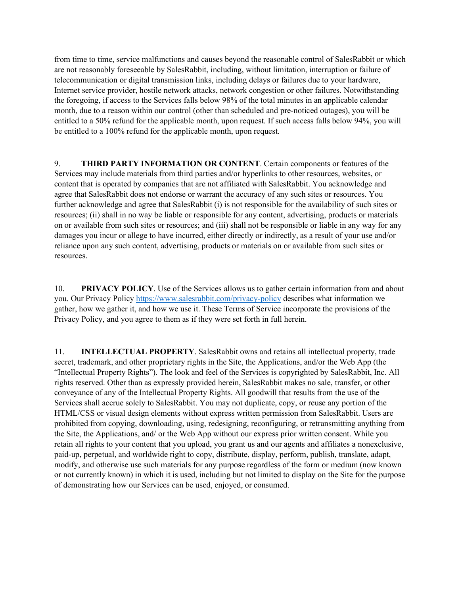from time to time, service malfunctions and causes beyond the reasonable control of SalesRabbit or which are not reasonably foreseeable by SalesRabbit, including, without limitation, interruption or failure of telecommunication or digital transmission links, including delays or failures due to your hardware, Internet service provider, hostile network attacks, network congestion or other failures. Notwithstanding the foregoing, if access to the Services falls below 98% of the total minutes in an applicable calendar month, due to a reason within our control (other than scheduled and pre-noticed outages), you will be entitled to a 50% refund for the applicable month, upon request. If such access falls below 94%, you will be entitled to a 100% refund for the applicable month, upon request.

9. **THIRD PARTY INFORMATION OR CONTENT**. Certain components or features of the Services may include materials from third parties and/or hyperlinks to other resources, websites, or content that is operated by companies that are not affiliated with SalesRabbit. You acknowledge and agree that SalesRabbit does not endorse or warrant the accuracy of any such sites or resources. You further acknowledge and agree that SalesRabbit (i) is not responsible for the availability of such sites or resources; (ii) shall in no way be liable or responsible for any content, advertising, products or materials on or available from such sites or resources; and (iii) shall not be responsible or liable in any way for any damages you incur or allege to have incurred, either directly or indirectly, as a result of your use and/or reliance upon any such content, advertising, products or materials on or available from such sites or resources.

10. **PRIVACY POLICY**. Use of the Services allows us to gather certain information from and about you. Our Privacy Policy https://www.salesrabbit.com/privacy-policy describes what information we gather, how we gather it, and how we use it. These Terms of Service incorporate the provisions of the Privacy Policy, and you agree to them as if they were set forth in full herein.

11. **INTELLECTUAL PROPERTY**. SalesRabbit owns and retains all intellectual property, trade secret, trademark, and other proprietary rights in the Site, the Applications, and/or the Web App (the "Intellectual Property Rights"). The look and feel of the Services is copyrighted by SalesRabbit, Inc. All rights reserved. Other than as expressly provided herein, SalesRabbit makes no sale, transfer, or other conveyance of any of the Intellectual Property Rights. All goodwill that results from the use of the Services shall accrue solely to SalesRabbit. You may not duplicate, copy, or reuse any portion of the HTML/CSS or visual design elements without express written permission from SalesRabbit. Users are prohibited from copying, downloading, using, redesigning, reconfiguring, or retransmitting anything from the Site, the Applications, and/ or the Web App without our express prior written consent. While you retain all rights to your content that you upload, you grant us and our agents and affiliates a nonexclusive, paid-up, perpetual, and worldwide right to copy, distribute, display, perform, publish, translate, adapt, modify, and otherwise use such materials for any purpose regardless of the form or medium (now known or not currently known) in which it is used, including but not limited to display on the Site for the purpose of demonstrating how our Services can be used, enjoyed, or consumed.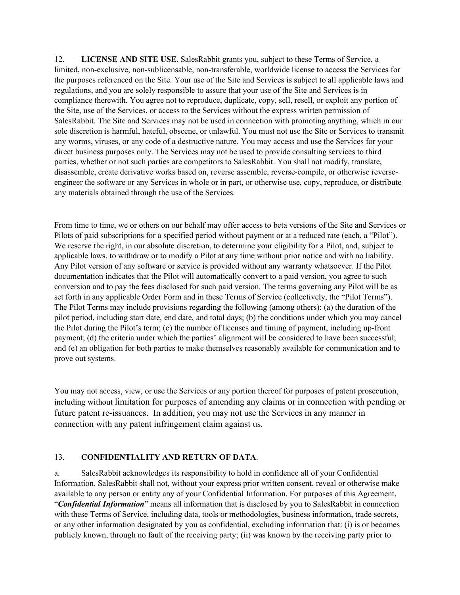12. **LICENSE AND SITE USE**. SalesRabbit grants you, subject to these Terms of Service, a limited, non-exclusive, non-sublicensable, non-transferable, worldwide license to access the Services for the purposes referenced on the Site. Your use of the Site and Services is subject to all applicable laws and regulations, and you are solely responsible to assure that your use of the Site and Services is in compliance therewith. You agree not to reproduce, duplicate, copy, sell, resell, or exploit any portion of the Site, use of the Services, or access to the Services without the express written permission of SalesRabbit. The Site and Services may not be used in connection with promoting anything, which in our sole discretion is harmful, hateful, obscene, or unlawful. You must not use the Site or Services to transmit any worms, viruses, or any code of a destructive nature. You may access and use the Services for your direct business purposes only. The Services may not be used to provide consulting services to third parties, whether or not such parties are competitors to SalesRabbit. You shall not modify, translate, disassemble, create derivative works based on, reverse assemble, reverse-compile, or otherwise reverseengineer the software or any Services in whole or in part, or otherwise use, copy, reproduce, or distribute any materials obtained through the use of the Services.

From time to time, we or others on our behalf may offer access to beta versions of the Site and Services or Pilots of paid subscriptions for a specified period without payment or at a reduced rate (each, a "Pilot"). We reserve the right, in our absolute discretion, to determine your eligibility for a Pilot, and, subject to applicable laws, to withdraw or to modify a Pilot at any time without prior notice and with no liability. Any Pilot version of any software or service is provided without any warranty whatsoever. If the Pilot documentation indicates that the Pilot will automatically convert to a paid version, you agree to such conversion and to pay the fees disclosed for such paid version. The terms governing any Pilot will be as set forth in any applicable Order Form and in these Terms of Service (collectively, the "Pilot Terms"). The Pilot Terms may include provisions regarding the following (among others): (a) the duration of the pilot period, including start date, end date, and total days; (b) the conditions under which you may cancel the Pilot during the Pilot's term; (c) the number of licenses and timing of payment, including up-front payment; (d) the criteria under which the parties' alignment will be considered to have been successful; and (e) an obligation for both parties to make themselves reasonably available for communication and to prove out systems.

You may not access, view, or use the Services or any portion thereof for purposes of patent prosecution, including without limitation for purposes of amending any claims or in connection with pending or future patent re-issuances. In addition, you may not use the Services in any manner in connection with any patent infringement claim against us.

### 13. **CONFIDENTIALITY AND RETURN OF DATA**.

a. SalesRabbit acknowledges its responsibility to hold in confidence all of your Confidential Information. SalesRabbit shall not, without your express prior written consent, reveal or otherwise make available to any person or entity any of your Confidential Information. For purposes of this Agreement, "*Confidential Information*" means all information that is disclosed by you to SalesRabbit in connection with these Terms of Service, including data, tools or methodologies, business information, trade secrets, or any other information designated by you as confidential, excluding information that: (i) is or becomes publicly known, through no fault of the receiving party; (ii) was known by the receiving party prior to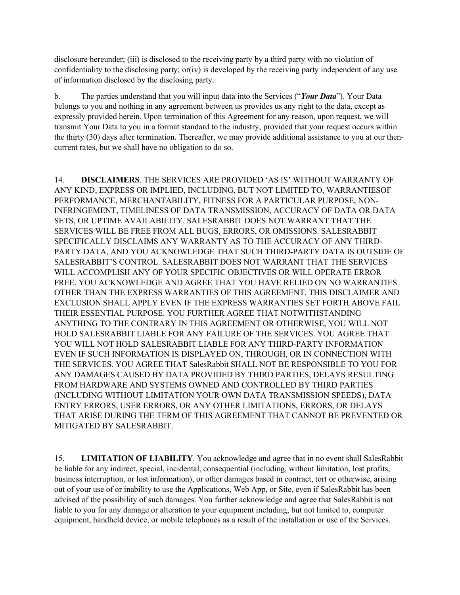disclosure hereunder; (iii) is disclosed to the receiving party by a third party with no violation of confidentiality to the disclosing party; or(iv) is developed by the receiving party independent of any use of information disclosed by the disclosing party.

b. The parties understand that you will input data into the Services ("*Your Data*"). Your Data belongs to you and nothing in any agreement between us provides us any right to the data, except as expressly provided herein. Upon termination of this Agreement for any reason, upon request, we will transmit Your Data to you in a format standard to the industry, provided that your request occurs within the thirty (30) days after termination. Thereafter, we may provide additional assistance to you at our thencurrent rates, but we shall have no obligation to do so.

14. **DISCLAIMERS**. THE SERVICES ARE PROVIDED 'AS IS' WITHOUT WARRANTY OF ANY KIND, EXPRESS OR IMPLIED, INCLUDING, BUT NOT LIMITED TO, WARRANTIESOF PERFORMANCE, MERCHANTABILITY, FITNESS FOR A PARTICULAR PURPOSE, NON-INFRINGEMENT, TIMELINESS OF DATA TRANSMISSION, ACCURACY OF DATA OR DATA SETS, OR UPTIME AVAILABILITY. SALESRABBIT DOES NOT WARRANT THAT THE SERVICES WILL BE FREE FROM ALL BUGS, ERRORS, OR OMISSIONS. SALESRABBIT SPECIFICALLY DISCLAIMS ANY WARRANTY AS TO THE ACCURACY OF ANY THIRD-PARTY DATA, AND YOU ACKNOWLEDGE THAT SUCH THIRD-PARTY DATA IS OUTSIDE OF SALESRABBIT'S CONTROL. SALESRABBIT DOES NOT WARRANT THAT THE SERVICES WILL ACCOMPLISH ANY OF YOUR SPECIFIC OBJECTIVES OR WILL OPERATE ERROR FREE. YOU ACKNOWLEDGE AND AGREE THAT YOU HAVE RELIED ON NO WARRANTIES OTHER THAN THE EXPRESS WARRANTIES OF THIS AGREEMENT. THIS DISCLAIMER AND EXCLUSION SHALL APPLY EVEN IF THE EXPRESS WARRANTIES SET FORTH ABOVE FAIL THEIR ESSENTIAL PURPOSE. YOU FURTHER AGREE THAT NOTWITHSTANDING ANYTHING TO THE CONTRARY IN THIS AGREEMENT OR OTHERWISE, YOU WILL NOT HOLD SALESRABBIT LIABLE FOR ANY FAILURE OF THE SERVICES. YOU AGREE THAT YOU WILL NOT HOLD SALESRABBIT LIABLE FOR ANY THIRD-PARTY INFORMATION EVEN IF SUCH INFORMATION IS DISPLAYED ON, THROUGH, OR IN CONNECTION WITH THE SERVICES. YOU AGREE THAT SalesRabbit SHALL NOT BE RESPONSIBLE TO YOU FOR ANY DAMAGES CAUSED BY DATA PROVIDED BY THIRD PARTIES, DELAYS RESULTING FROM HARDWARE AND SYSTEMS OWNED AND CONTROLLED BY THIRD PARTIES (INCLUDING WITHOUT LIMITATION YOUR OWN DATA TRANSMISSION SPEEDS), DATA ENTRY ERRORS, USER ERRORS, OR ANY OTHER LIMITATIONS, ERRORS, OR DELAYS THAT ARISE DURING THE TERM OF THIS AGREEMENT THAT CANNOT BE PREVENTED OR MITIGATED BY SALESRABBIT.

15. **LIMITATION OF LIABILITY**. You acknowledge and agree that in no event shall SalesRabbit be liable for any indirect, special, incidental, consequential (including, without limitation, lost profits, business interruption, or lost information), or other damages based in contract, tort or otherwise, arising out of your use of or inability to use the Applications, Web App, or Site, even if SalesRabbit has been advised of the possibility of such damages. You further acknowledge and agree that SalesRabbit is not liable to you for any damage or alteration to your equipment including, but not limited to, computer equipment, handheld device, or mobile telephones as a result of the installation or use of the Services.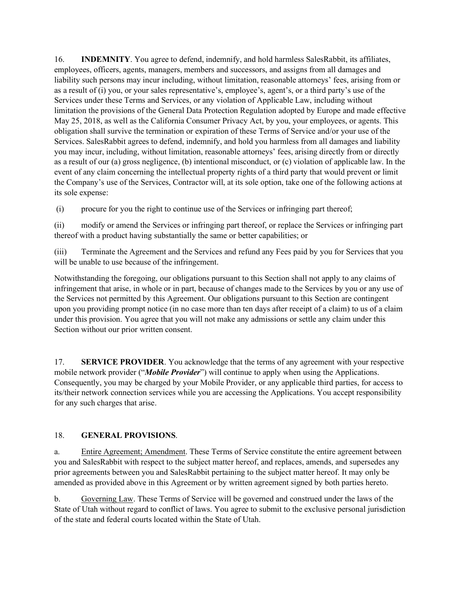16. **INDEMNITY**. You agree to defend, indemnify, and hold harmless SalesRabbit, its affiliates, employees, officers, agents, managers, members and successors, and assigns from all damages and liability such persons may incur including, without limitation, reasonable attorneys' fees, arising from or as a result of (i) you, or your sales representative's, employee's, agent's, or a third party's use of the Services under these Terms and Services, or any violation of Applicable Law, including without limitation the provisions of the General Data Protection Regulation adopted by Europe and made effective May 25, 2018, as well as the California Consumer Privacy Act, by you, your employees, or agents. This obligation shall survive the termination or expiration of these Terms of Service and/or your use of the Services. SalesRabbit agrees to defend, indemnify, and hold you harmless from all damages and liability you may incur, including, without limitation, reasonable attorneys' fees, arising directly from or directly as a result of our (a) gross negligence, (b) intentional misconduct, or (c) violation of applicable law. In the event of any claim concerning the intellectual property rights of a third party that would prevent or limit the Company's use of the Services, Contractor will, at its sole option, take one of the following actions at its sole expense:

(i) procure for you the right to continue use of the Services or infringing part thereof;

(ii) modify or amend the Services or infringing part thereof, or replace the Services or infringing part thereof with a product having substantially the same or better capabilities; or

(iii) Terminate the Agreement and the Services and refund any Fees paid by you for Services that you will be unable to use because of the infringement.

Notwithstanding the foregoing, our obligations pursuant to this Section shall not apply to any claims of infringement that arise, in whole or in part, because of changes made to the Services by you or any use of the Services not permitted by this Agreement. Our obligations pursuant to this Section are contingent upon you providing prompt notice (in no case more than ten days after receipt of a claim) to us of a claim under this provision. You agree that you will not make any admissions or settle any claim under this Section without our prior written consent.

17. **SERVICE PROVIDER**. You acknowledge that the terms of any agreement with your respective mobile network provider ("*Mobile Provider*") will continue to apply when using the Applications. Consequently, you may be charged by your Mobile Provider, or any applicable third parties, for access to its/their network connection services while you are accessing the Applications. You accept responsibility for any such charges that arise.

## 18. **GENERAL PROVISIONS**.

a. Entire Agreement; Amendment. These Terms of Service constitute the entire agreement between you and SalesRabbit with respect to the subject matter hereof, and replaces, amends, and supersedes any prior agreements between you and SalesRabbit pertaining to the subject matter hereof. It may only be amended as provided above in this Agreement or by written agreement signed by both parties hereto.

b. Governing Law. These Terms of Service will be governed and construed under the laws of the State of Utah without regard to conflict of laws. You agree to submit to the exclusive personal jurisdiction of the state and federal courts located within the State of Utah.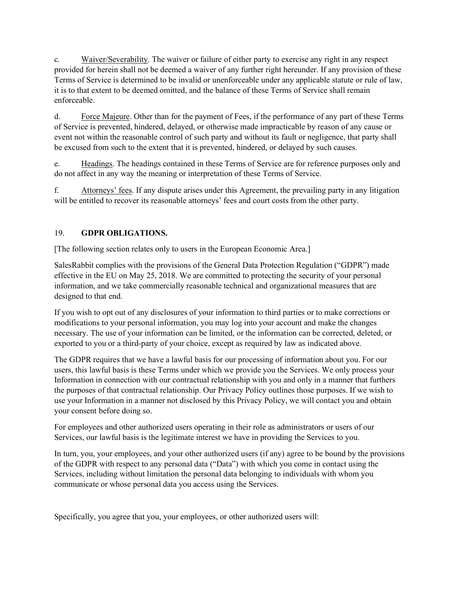c. Waiver/Severability. The waiver or failure of either party to exercise any right in any respect provided for herein shall not be deemed a waiver of any further right hereunder. If any provision of these Terms of Service is determined to be invalid or unenforceable under any applicable statute or rule of law, it is to that extent to be deemed omitted, and the balance of these Terms of Service shall remain enforceable.

d. Force Majeure. Other than for the payment of Fees, if the performance of any part of these Terms of Service is prevented, hindered, delayed, or otherwise made impracticable by reason of any cause or event not within the reasonable control of such party and without its fault or negligence, that party shall be excused from such to the extent that it is prevented, hindered, or delayed by such causes.

e. Headings. The headings contained in these Terms of Service are for reference purposes only and do not affect in any way the meaning or interpretation of these Terms of Service.

f. Attorneys' fees. If any dispute arises under this Agreement, the prevailing party in any litigation will be entitled to recover its reasonable attorneys' fees and court costs from the other party.

### 19. **GDPR OBLIGATIONS.**

[The following section relates only to users in the European Economic Area.]

SalesRabbit complies with the provisions of the General Data Protection Regulation ("GDPR") made effective in the EU on May 25, 2018. We are committed to protecting the security of your personal information, and we take commercially reasonable technical and organizational measures that are designed to that end.

If you wish to opt out of any disclosures of your information to third parties or to make corrections or modifications to your personal information, you may log into your account and make the changes necessary. The use of your information can be limited, or the information can be corrected, deleted, or exported to you or a third-party of your choice, except as required by law as indicated above.

The GDPR requires that we have a lawful basis for our processing of information about you. For our users, this lawful basis is these Terms under which we provide you the Services. We only process your Information in connection with our contractual relationship with you and only in a manner that furthers the purposes of that contractual relationship. Our Privacy Policy outlines those purposes. If we wish to use your Information in a manner not disclosed by this Privacy Policy, we will contact you and obtain your consent before doing so.

For employees and other authorized users operating in their role as administrators or users of our Services, our lawful basis is the legitimate interest we have in providing the Services to you.

In turn, you, your employees, and your other authorized users (if any) agree to be bound by the provisions of the GDPR with respect to any personal data ("Data") with which you come in contact using the Services, including without limitation the personal data belonging to individuals with whom you communicate or whose personal data you access using the Services.

Specifically, you agree that you, your employees, or other authorized users will: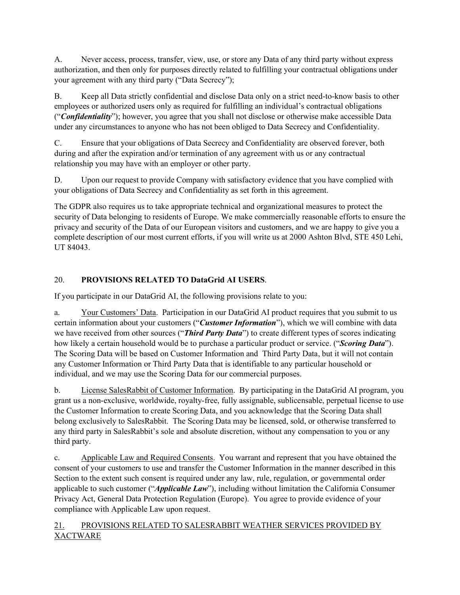A. Never access, process, transfer, view, use, or store any Data of any third party without express authorization, and then only for purposes directly related to fulfilling your contractual obligations under your agreement with any third party ("Data Secrecy");

B. Keep all Data strictly confidential and disclose Data only on a strict need-to-know basis to other employees or authorized users only as required for fulfilling an individual's contractual obligations ("*Confidentiality*"); however, you agree that you shall not disclose or otherwise make accessible Data under any circumstances to anyone who has not been obliged to Data Secrecy and Confidentiality.

C. Ensure that your obligations of Data Secrecy and Confidentiality are observed forever, both during and after the expiration and/or termination of any agreement with us or any contractual relationship you may have with an employer or other party.

D. Upon our request to provide Company with satisfactory evidence that you have complied with your obligations of Data Secrecy and Confidentiality as set forth in this agreement.

The GDPR also requires us to take appropriate technical and organizational measures to protect the security of Data belonging to residents of Europe. We make commercially reasonable efforts to ensure the privacy and security of the Data of our European visitors and customers, and we are happy to give you a complete description of our most current efforts, if you will write us at 2000 Ashton Blvd, STE 450 Lehi, UT 84043.

# 20. **PROVISIONS RELATED TO DataGrid AI USERS**.

If you participate in our DataGrid AI, the following provisions relate to you:

a. Your Customers' Data. Participation in our DataGrid AI product requires that you submit to us certain information about your customers ("*Customer Information*"), which we will combine with data we have received from other sources ("*Third Party Data*") to create different types of scores indicating how likely a certain household would be to purchase a particular product or service. ("*Scoring Data*"). The Scoring Data will be based on Customer Information and Third Party Data, but it will not contain any Customer Information or Third Party Data that is identifiable to any particular household or individual, and we may use the Scoring Data for our commercial purposes.

b. License SalesRabbit of Customer Information. By participating in the DataGrid AI program, you grant us a non-exclusive, worldwide, royalty-free, fully assignable, sublicensable, perpetual license to use the Customer Information to create Scoring Data, and you acknowledge that the Scoring Data shall belong exclusively to SalesRabbit. The Scoring Data may be licensed, sold, or otherwise transferred to any third party in SalesRabbit's sole and absolute discretion, without any compensation to you or any third party.

c. Applicable Law and Required Consents. You warrant and represent that you have obtained the consent of your customers to use and transfer the Customer Information in the manner described in this Section to the extent such consent is required under any law, rule, regulation, or governmental order applicable to such customer ("*Applicable Law*"), including without limitation the California Consumer Privacy Act, General Data Protection Regulation (Europe). You agree to provide evidence of your compliance with Applicable Law upon request.

## 21. PROVISIONS RELATED TO SALESRABBIT WEATHER SERVICES PROVIDED BY XACTWARE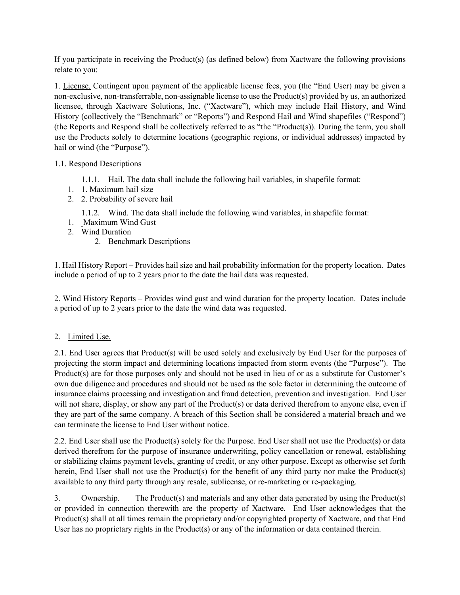If you participate in receiving the Product(s) (as defined below) from Xactware the following provisions relate to you:

1. License. Contingent upon payment of the applicable license fees, you (the "End User) may be given a non-exclusive, non-transferrable, non-assignable license to use the Product(s) provided by us, an authorized licensee, through Xactware Solutions, Inc. ("Xactware"), which may include Hail History, and Wind History (collectively the "Benchmark" or "Reports") and Respond Hail and Wind shapefiles ("Respond") (the Reports and Respond shall be collectively referred to as "the "Product(s)). During the term, you shall use the Products solely to determine locations (geographic regions, or individual addresses) impacted by hail or wind (the "Purpose").

### 1.1. Respond Descriptions

- 1.1.1. Hail. The data shall include the following hail variables, in shapefile format:
- 1. 1. Maximum hail size
- 2. 2. Probability of severe hail
	- 1.1.2. Wind. The data shall include the following wind variables, in shapefile format:
- 1. Maximum Wind Gust
- 2. Wind Duration
	- 2. Benchmark Descriptions

1. Hail History Report – Provides hail size and hail probability information for the property location. Dates include a period of up to 2 years prior to the date the hail data was requested.

2. Wind History Reports – Provides wind gust and wind duration for the property location. Dates include a period of up to 2 years prior to the date the wind data was requested.

#### 2. Limited Use.

2.1. End User agrees that Product(s) will be used solely and exclusively by End User for the purposes of projecting the storm impact and determining locations impacted from storm events (the "Purpose"). The Product(s) are for those purposes only and should not be used in lieu of or as a substitute for Customer's own due diligence and procedures and should not be used as the sole factor in determining the outcome of insurance claims processing and investigation and fraud detection, prevention and investigation. End User will not share, display, or show any part of the Product(s) or data derived therefrom to anyone else, even if they are part of the same company. A breach of this Section shall be considered a material breach and we can terminate the license to End User without notice.

2.2. End User shall use the Product(s) solely for the Purpose. End User shall not use the Product(s) or data derived therefrom for the purpose of insurance underwriting, policy cancellation or renewal, establishing or stabilizing claims payment levels, granting of credit, or any other purpose. Except as otherwise set forth herein, End User shall not use the Product(s) for the benefit of any third party nor make the Product(s) available to any third party through any resale, sublicense, or re-marketing or re-packaging.

3. Ownership. The Product(s) and materials and any other data generated by using the Product(s) or provided in connection therewith are the property of Xactware. End User acknowledges that the Product(s) shall at all times remain the proprietary and/or copyrighted property of Xactware, and that End User has no proprietary rights in the Product(s) or any of the information or data contained therein.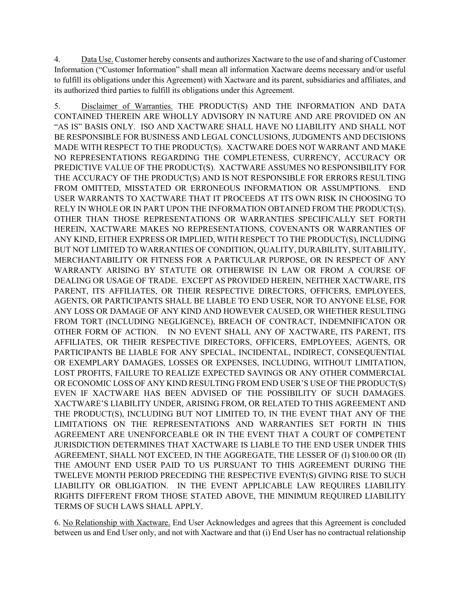4. Data Use. Customer hereby consents and authorizes Xactware to the use of and sharing of Customer Information ("Customer Information" shall mean all information Xactware deems necessary and/or useful to fulfill its obligations under this Agreement) with Xactware and its parent, subsidiaries and affiliates, and its authorized third parties to fulfill its obligations under this Agreement.

5. Disclaimer of Warranties. THE PRODUCT(S) AND THE INFORMATION AND DATA CONTAINED THEREIN ARE WHOLLY ADVISORY IN NATURE AND ARE PROVIDED ON AN "AS IS" BASIS ONLY. ISO AND XACTWARE SHALL HAVE NO LIABILITY AND SHALL NOT BE RESPONSIBLE FOR BUSINESS AND LEGAL CONCLUSIONS, JUDGMENTS AND DECISIONS MADE WITH RESPECT TO THE PRODUCT(S). XACTWARE DOES NOT WARRANT AND MAKE NO REPRESENTATIONS REGARDING THE COMPLETENESS, CURRENCY, ACCURACY OR PREDICTIVE VALUE OF THE PRODUCT(S). XACTWARE ASSUMES NO RESPONSIBILITY FOR THE ACCURACY OF THE PRODUCT(S) AND IS NOT RESPONSIBLE FOR ERRORS RESULTING FROM OMITTED, MISSTATED OR ERRONEOUS INFORMATION OR ASSUMPTIONS. END USER WARRANTS TO XACTWARE THAT IT PROCEEDS AT ITS OWN RISK IN CHOOSING TO RELY IN WHOLE OR IN PART UPON THE INFORMATION OBTAINED FROM THE PRODUCT(S). OTHER THAN THOSE REPRESENTATIONS OR WARRANTIES SPECIFICALLY SET FORTH HEREIN, XACTWARE MAKES NO REPRESENTATIONS, COVENANTS OR WARRANTIES OF ANY KIND, EITHER EXPRESS OR IMPLIED, WITH RESPECT TO THE PRODUCT(S), INCLUDING BUT NOT LIMITED TO WARRANTIES OF CONDITION, QUALITY, DURABILITY, SUITABILITY, MERCHANTABILITY OR FITNESS FOR A PARTICULAR PURPOSE, OR IN RESPECT OF ANY WARRANTY ARISING BY STATUTE OR OTHERWISE IN LAW OR FROM A COURSE OF DEALING OR USAGE OF TRADE. EXCEPT AS PROVIDED HEREIN, NEITHER XACTWARE, ITS PARENT, ITS AFFILIATES, OR THEIR RESPECTIVE DIRECTORS, OFFICERS, EMPLOYEES, AGENTS, OR PARTICIPANTS SHALL BE LIABLE TO END USER, NOR TO ANYONE ELSE, FOR ANY LOSS OR DAMAGE OF ANY KIND AND HOWEVER CAUSED, OR WHETHER RESULTING FROM TORT (INCLUDING NEGLIGENCE), BREACH OF CONTRACT, INDEMNIFICATON OR OTHER FORM OF ACTION. IN NO EVENT SHALL ANY OF XACTWARE, ITS PARENT, ITS AFFILIATES, OR THEIR RESPECTIVE DIRECTORS, OFFICERS, EMPLOYEES, AGENTS, OR PARTICIPANTS BE LIABLE FOR ANY SPECIAL, INCIDENTAL, INDIRECT, CONSEQUENTIAL OR EXEMPLARY DAMAGES, LOSSES OR EXPENSES, INCLUDING, WITHOUT LIMITATION, LOST PROFITS, FAILURE TO REALIZE EXPECTED SAVINGS OR ANY OTHER COMMERCIAL OR ECONOMIC LOSS OF ANY KIND RESULTING FROM END USER'S USE OF THE PRODUCT(S) EVEN IF XACTWARE HAS BEEN ADVISED OF THE POSSIBILITY OF SUCH DAMAGES. XACTWARE'S LIABILITY UNDER, ARISING FROM, OR RELATED TO THIS AGREEMENT AND THE PRODUCT(S), INCLUDING BUT NOT LIMITED TO, IN THE EVENT THAT ANY OF THE LIMITATIONS ON THE REPRESENTATIONS AND WARRANTIES SET FORTH IN THIS AGREEMENT ARE UNENFORCEABLE OR IN THE EVENT THAT A COURT OF COMPETENT JURISDICTION DETERMINES THAT XACTWARE IS LIABLE TO THE END USER UNDER THIS AGREEMENT, SHALL NOT EXCEED, IN THE AGGREGATE, THE LESSER OF (I) \$100.00 OR (II) THE AMOUNT END USER PAID TO US PURSUANT TO THIS AGREEMENT DURING THE TWELEVE MONTH PERIOD PRECEDING THE RESPECTIVE EVENT(S) GIVING RISE TO SUCH LIABILITY OR OBLIGATION. IN THE EVENT APPLICABLE LAW REQUIRES LIABILITY RIGHTS DIFFERENT FROM THOSE STATED ABOVE, THE MINIMUM REQUIRED LIABILITY TERMS OF SUCH LAWS SHALL APPLY.

6. No Relationship with Xactware. End User Acknowledges and agrees that this Agreement is concluded between us and End User only, and not with Xactware and that (i) End User has no contractual relationship